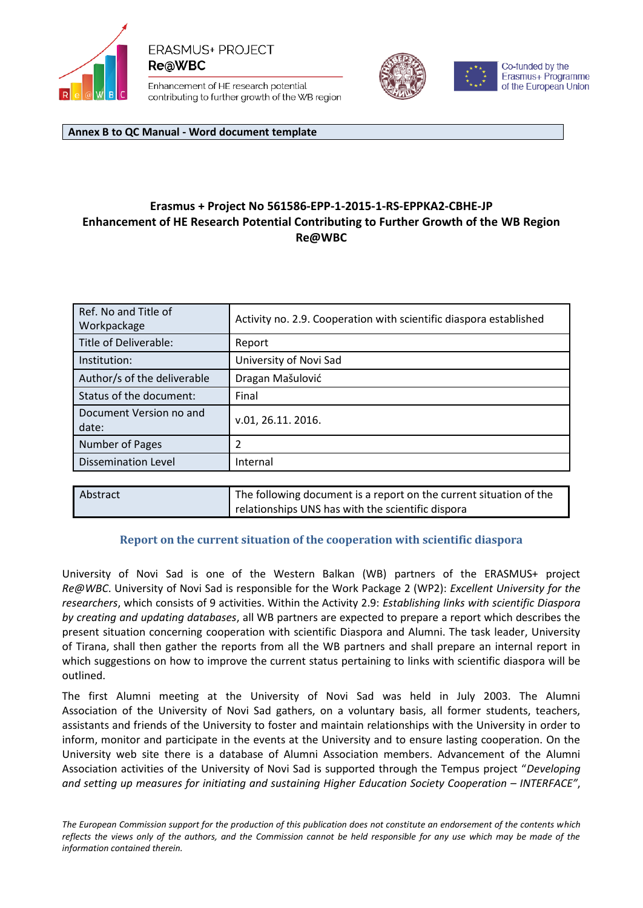

**ERASMUS+ PROJECT ReaWBC** 

Enhancement of HE research potential contributing to further growth of the WB region



Co-funded by the Erasmus+ Programme of the European Union

**Annex B to QC Manual - Word document template**

## **Erasmus + Project No 561586‐EPP‐1‐2015‐1‐RS‐EPPKA2‐CBHE‐JP Enhancement of HE Research Potential Contributing to Further Growth of the WB Region Re@WBC**

| Ref. No and Title of<br>Workpackage | Activity no. 2.9. Cooperation with scientific diaspora established |
|-------------------------------------|--------------------------------------------------------------------|
| Title of Deliverable:               | Report                                                             |
| Institution:                        | University of Novi Sad                                             |
| Author/s of the deliverable         | Dragan Mašulović                                                   |
| Status of the document:             | Final                                                              |
| Document Version no and<br>date:    | v.01, 26.11. 2016.                                                 |
| Number of Pages                     |                                                                    |
| <b>Dissemination Level</b>          | Internal                                                           |
|                                     |                                                                    |

| l Abstract | The following document is a report on the current situation of the |
|------------|--------------------------------------------------------------------|
|            | relationships UNS has with the scientific dispora                  |

## **Report on the current situation of the cooperation with scientific diaspora**

University of Novi Sad is one of the Western Balkan (WB) partners of the ERASMUS+ project *Re@WBC*. University of Novi Sad is responsible for the Work Package 2 (WP2): *Excellent University for the researchers*, which consists of 9 activities. Within the Activity 2.9: *Establishing links with scientific Diaspora by creating and updating databases*, all WB partners are expected to prepare a report which describes the present situation concerning cooperation with scientific Diaspora and Alumni. The task leader, University of Tirana, shall then gather the reports from all the WB partners and shall prepare an internal report in which suggestions on how to improve the current status pertaining to links with scientific diaspora will be outlined.

The first Alumni meeting at the University of Novi Sad was held in July 2003. The Alumni Association of the University of Novi Sad gathers, on a voluntary basis, all former students, teachers, assistants and friends of the University to foster and maintain relationships with the University in order to inform, monitor and participate in the events at the University and to ensure lasting cooperation. On the University web site there is a database of Alumni Association members. Advancement of the Alumni Association activities of the University of Novi Sad is supported through the Tempus project "*Developing and setting up measures for initiating and sustaining Higher Education Society Cooperation – INTERFACE"*,

*The European Commission support for the production of this publication does not constitute an endorsement of the contents which reflects the views only of the authors, and the Commission cannot be held responsible for any use which may be made of the information contained therein.*